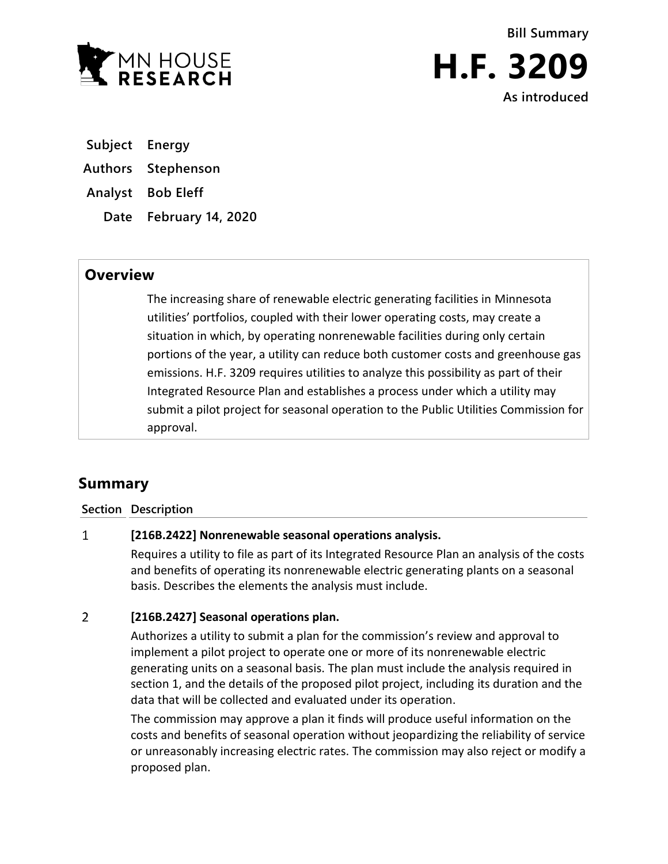

**Bill Summary H.F. 3209 As introduced** 

**Subject Energy**

**Authors Stephenson**

**Analyst Bob Eleff**

**Date February 14, 2020**

## **Overview**

The increasing share of renewable electric generating facilities in Minnesota utilities' portfolios, coupled with their lower operating costs, may create a situation in which, by operating nonrenewable facilities during only certain portions of the year, a utility can reduce both customer costs and greenhouse gas emissions. H.F. 3209 requires utilities to analyze this possibility as part of their Integrated Resource Plan and establishes a process under which a utility may submit a pilot project for seasonal operation to the Public Utilities Commission for approval.

# **Summary**

### **Section Description**

### $\mathbf{1}$ **[216B.2422] Nonrenewable seasonal operations analysis.**

Requires a utility to file as part of its Integrated Resource Plan an analysis of the costs and benefits of operating its nonrenewable electric generating plants on a seasonal basis. Describes the elements the analysis must include.

### $\overline{2}$ **[216B.2427] Seasonal operations plan.**

Authorizes a utility to submit a plan for the commission's review and approval to implement a pilot project to operate one or more of its nonrenewable electric generating units on a seasonal basis. The plan must include the analysis required in section 1, and the details of the proposed pilot project, including its duration and the data that will be collected and evaluated under its operation.

The commission may approve a plan it finds will produce useful information on the costs and benefits of seasonal operation without jeopardizing the reliability of service or unreasonably increasing electric rates. The commission may also reject or modify a proposed plan.